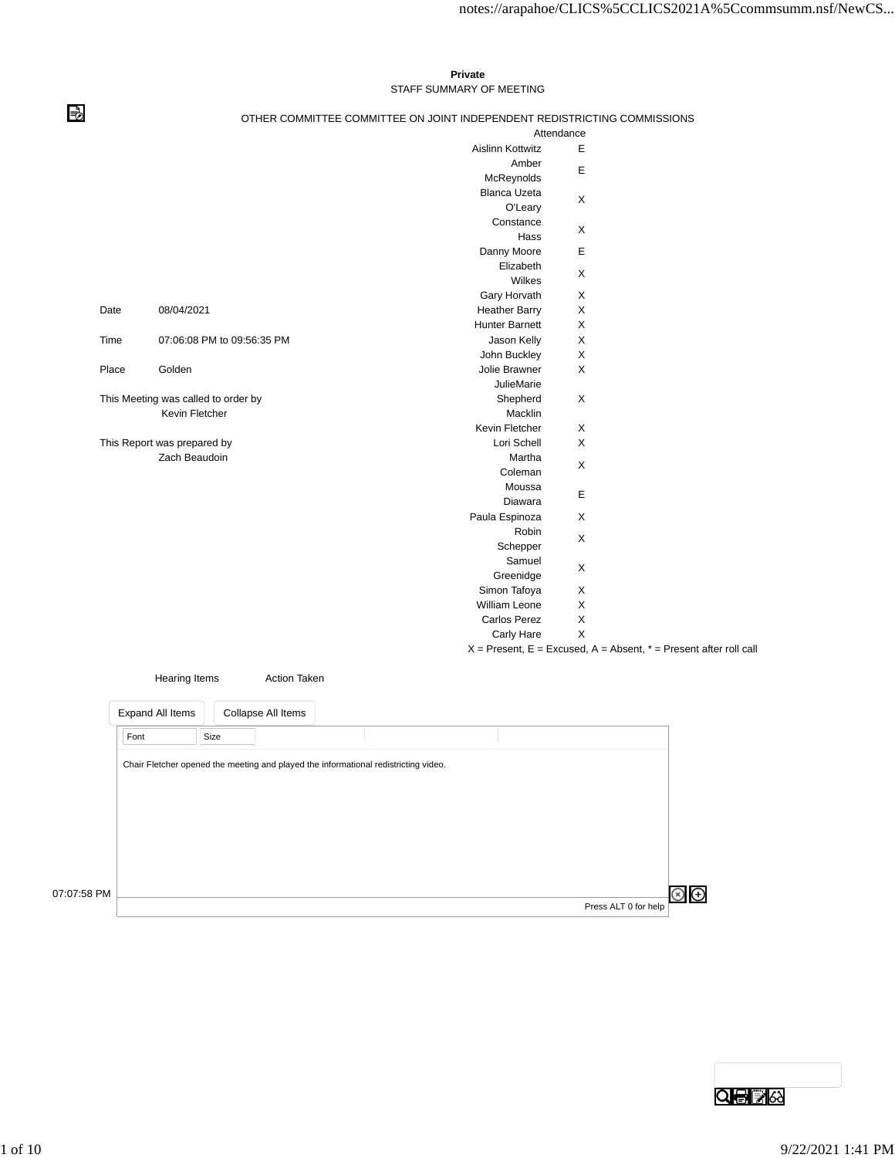## **Private** STAFF SUMMARY OF MEETING

## ⇛

## OTHER COMMITTEE COMMITTEE ON JOINT INDEPENDENT REDISTRICTING COMMISSIONS

|       |                                     | Attendance              |   |                                                                       |
|-------|-------------------------------------|-------------------------|---|-----------------------------------------------------------------------|
|       |                                     | <b>Aislinn Kottwitz</b> | Ε |                                                                       |
|       |                                     | Amber                   |   |                                                                       |
|       |                                     | McReynolds              | E |                                                                       |
|       |                                     | <b>Blanca Uzeta</b>     |   |                                                                       |
|       |                                     | O'Leary                 | X |                                                                       |
|       |                                     | Constance               |   |                                                                       |
|       |                                     | Hass                    | X |                                                                       |
|       |                                     | Danny Moore             | E |                                                                       |
|       |                                     | Elizabeth               | X |                                                                       |
|       |                                     | Wilkes                  |   |                                                                       |
|       |                                     | Gary Horvath            | X |                                                                       |
| Date  | 08/04/2021                          | <b>Heather Barry</b>    | X |                                                                       |
|       |                                     | <b>Hunter Barnett</b>   | X |                                                                       |
| Time  | 07:06:08 PM to 09:56:35 PM          | Jason Kelly             | X |                                                                       |
|       |                                     | John Buckley            | X |                                                                       |
| Place | Golden                              | Jolie Brawner           | X |                                                                       |
|       |                                     | <b>JulieMarie</b>       |   |                                                                       |
|       | This Meeting was called to order by | Shepherd                | X |                                                                       |
|       | Kevin Fletcher                      | Macklin                 |   |                                                                       |
|       |                                     | Kevin Fletcher          | X |                                                                       |
|       | This Report was prepared by         | Lori Schell             | X |                                                                       |
|       | Zach Beaudoin                       | Martha                  | X |                                                                       |
|       |                                     | Coleman                 |   |                                                                       |
|       |                                     | Moussa                  | E |                                                                       |
|       |                                     | Diawara                 |   |                                                                       |
|       |                                     | Paula Espinoza          | X |                                                                       |
|       |                                     | Robin                   | X |                                                                       |
|       |                                     | Schepper                |   |                                                                       |
|       |                                     | Samuel                  |   |                                                                       |
|       |                                     | Greenidge               | X |                                                                       |
|       |                                     | Simon Tafoya            | X |                                                                       |
|       |                                     | William Leone           | X |                                                                       |
|       |                                     | Carlos Perez            | X |                                                                       |
|       |                                     | Carly Hare              | X |                                                                       |
|       |                                     |                         |   | $X =$ Present, E = Excused, A = Absent, $* =$ Present after roll call |
|       |                                     |                         |   |                                                                       |

|             | Hearing Items                                                                       |      | <b>Action Taken</b> |  |  |                      |  |
|-------------|-------------------------------------------------------------------------------------|------|---------------------|--|--|----------------------|--|
|             | Expand All Items                                                                    |      | Collapse All Items  |  |  |                      |  |
|             | Font                                                                                | Size |                     |  |  |                      |  |
|             | Chair Fletcher opened the meeting and played the informational redistricting video. |      |                     |  |  |                      |  |
|             |                                                                                     |      |                     |  |  |                      |  |
|             |                                                                                     |      |                     |  |  |                      |  |
|             |                                                                                     |      |                     |  |  |                      |  |
|             |                                                                                     |      |                     |  |  |                      |  |
| 07:07:58 PM |                                                                                     |      |                     |  |  |                      |  |
|             |                                                                                     |      |                     |  |  | Press ALT 0 for help |  |

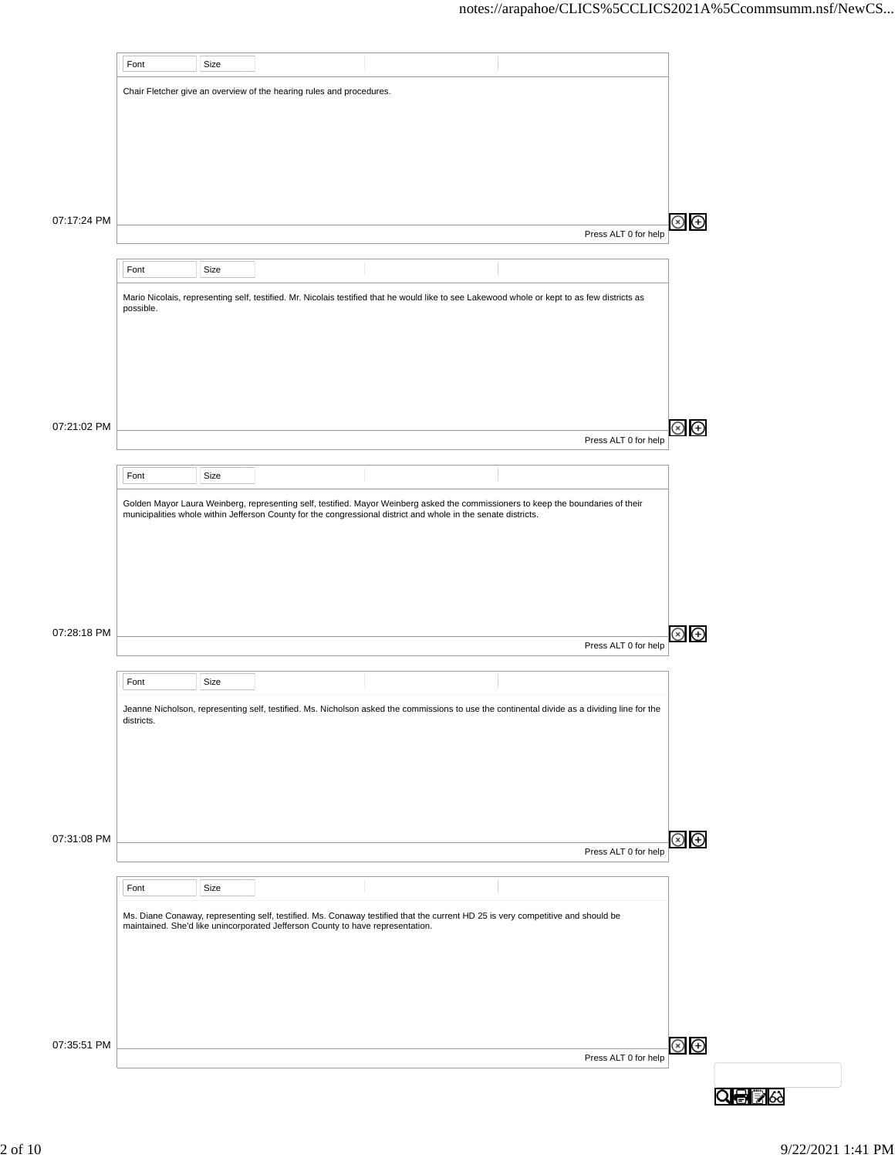|             | Font       | Size |                                                                                                                                                                                                                   |  |                      |                 |  |
|-------------|------------|------|-------------------------------------------------------------------------------------------------------------------------------------------------------------------------------------------------------------------|--|----------------------|-----------------|--|
|             |            |      | Chair Fletcher give an overview of the hearing rules and procedures.                                                                                                                                              |  |                      |                 |  |
|             |            |      |                                                                                                                                                                                                                   |  |                      |                 |  |
|             |            |      |                                                                                                                                                                                                                   |  |                      |                 |  |
|             |            |      |                                                                                                                                                                                                                   |  |                      |                 |  |
|             |            |      |                                                                                                                                                                                                                   |  |                      |                 |  |
|             |            |      |                                                                                                                                                                                                                   |  |                      |                 |  |
| 07:17:24 PM |            |      |                                                                                                                                                                                                                   |  | Press ALT 0 for help | $\circledast$   |  |
|             |            |      |                                                                                                                                                                                                                   |  |                      |                 |  |
|             | Font       | Size |                                                                                                                                                                                                                   |  |                      |                 |  |
|             | possible.  |      | Mario Nicolais, representing self, testified. Mr. Nicolais testified that he would like to see Lakewood whole or kept to as few districts as                                                                      |  |                      |                 |  |
|             |            |      |                                                                                                                                                                                                                   |  |                      |                 |  |
|             |            |      |                                                                                                                                                                                                                   |  |                      |                 |  |
|             |            |      |                                                                                                                                                                                                                   |  |                      |                 |  |
|             |            |      |                                                                                                                                                                                                                   |  |                      |                 |  |
| 07:21:02 PM |            |      |                                                                                                                                                                                                                   |  |                      | ⊗<br>⊕          |  |
|             |            |      |                                                                                                                                                                                                                   |  | Press ALT 0 for help |                 |  |
|             | Font       | Size |                                                                                                                                                                                                                   |  |                      |                 |  |
|             |            |      | Golden Mayor Laura Weinberg, representing self, testified. Mayor Weinberg asked the commissioners to keep the boundaries of their                                                                                 |  |                      |                 |  |
|             |            |      | municipalities whole within Jefferson County for the congressional district and whole in the senate districts.                                                                                                    |  |                      |                 |  |
|             |            |      |                                                                                                                                                                                                                   |  |                      |                 |  |
|             |            |      |                                                                                                                                                                                                                   |  |                      |                 |  |
|             |            |      |                                                                                                                                                                                                                   |  |                      |                 |  |
|             |            |      |                                                                                                                                                                                                                   |  |                      |                 |  |
| 07:28:18 PM |            |      |                                                                                                                                                                                                                   |  | Press ALT 0 for help | ⊗<br>⊕          |  |
|             |            |      |                                                                                                                                                                                                                   |  |                      |                 |  |
|             | Font       | Size |                                                                                                                                                                                                                   |  |                      |                 |  |
|             | districts. |      | Jeanne Nicholson, representing self, testified. Ms. Nicholson asked the commissions to use the continental divide as a dividing line for the                                                                      |  |                      |                 |  |
|             |            |      |                                                                                                                                                                                                                   |  |                      |                 |  |
|             |            |      |                                                                                                                                                                                                                   |  |                      |                 |  |
|             |            |      |                                                                                                                                                                                                                   |  |                      |                 |  |
|             |            |      |                                                                                                                                                                                                                   |  |                      |                 |  |
| 07:31:08 PM |            |      |                                                                                                                                                                                                                   |  |                      | ව<br>ල          |  |
|             |            |      |                                                                                                                                                                                                                   |  | Press ALT 0 for help |                 |  |
|             | Font       | Size |                                                                                                                                                                                                                   |  |                      |                 |  |
|             |            |      |                                                                                                                                                                                                                   |  |                      |                 |  |
|             |            |      | Ms. Diane Conaway, representing self, testified. Ms. Conaway testified that the current HD 25 is very competitive and should be<br>maintained. She'd like unincorporated Jefferson County to have representation. |  |                      |                 |  |
|             |            |      |                                                                                                                                                                                                                   |  |                      |                 |  |
|             |            |      |                                                                                                                                                                                                                   |  |                      |                 |  |
|             |            |      |                                                                                                                                                                                                                   |  |                      |                 |  |
|             |            |      |                                                                                                                                                                                                                   |  |                      |                 |  |
| 07:35:51 PM |            |      |                                                                                                                                                                                                                   |  |                      | $\odot$ $\odot$ |  |
|             |            |      |                                                                                                                                                                                                                   |  | Press ALT 0 for help |                 |  |
|             |            |      |                                                                                                                                                                                                                   |  |                      |                 |  |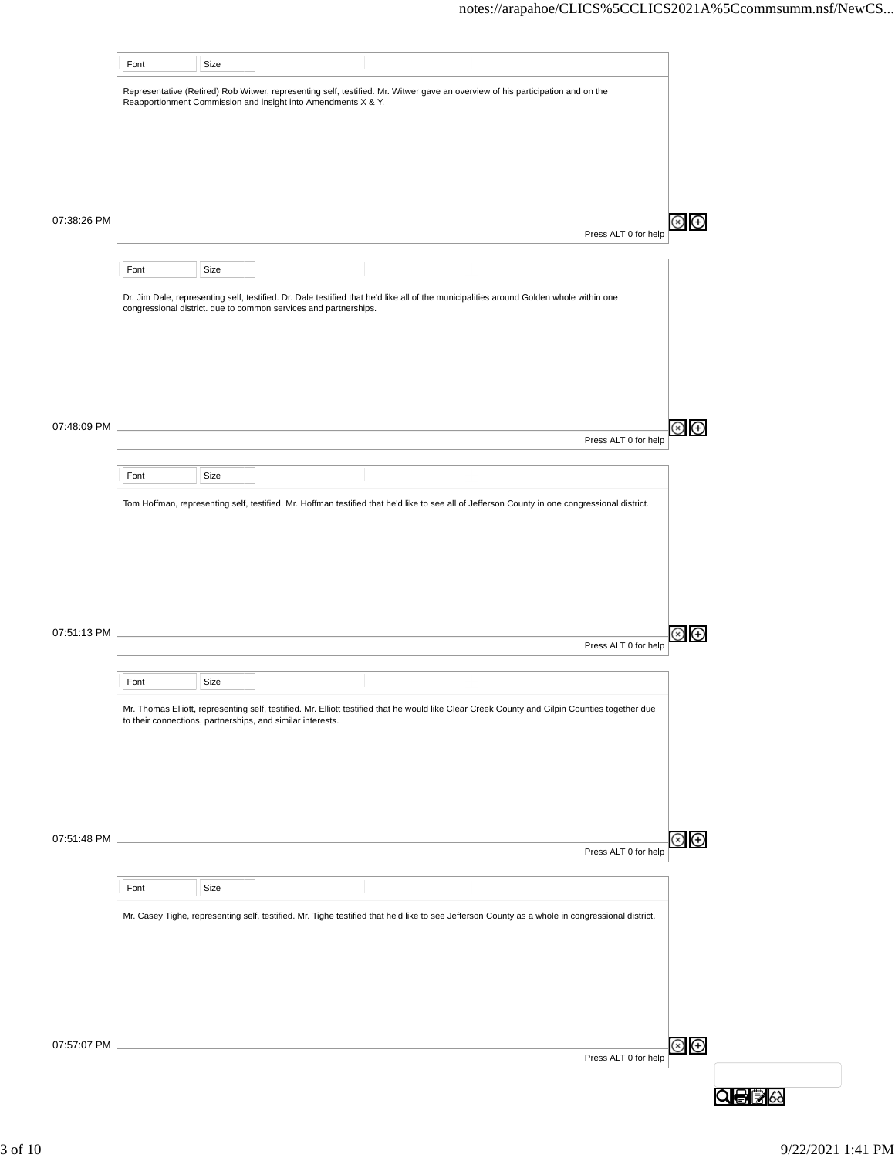|             | Font | Size |                                                                                                                                                                                                            |  |                                                                                                                                                                                                              |                |
|-------------|------|------|------------------------------------------------------------------------------------------------------------------------------------------------------------------------------------------------------------|--|--------------------------------------------------------------------------------------------------------------------------------------------------------------------------------------------------------------|----------------|
|             |      |      | Representative (Retired) Rob Witwer, representing self, testified. Mr. Witwer gave an overview of his participation and on the<br>Reapportionment Commission and insight into Amendments X & Y.            |  |                                                                                                                                                                                                              |                |
|             |      |      |                                                                                                                                                                                                            |  |                                                                                                                                                                                                              |                |
|             |      |      |                                                                                                                                                                                                            |  |                                                                                                                                                                                                              |                |
|             |      |      |                                                                                                                                                                                                            |  |                                                                                                                                                                                                              |                |
| 07:38:26 PM |      |      |                                                                                                                                                                                                            |  | Press ALT 0 for help                                                                                                                                                                                         | Θ              |
|             | Font | Size |                                                                                                                                                                                                            |  |                                                                                                                                                                                                              |                |
|             |      |      | Dr. Jim Dale, representing self, testified. Dr. Dale testified that he'd like all of the municipalities around Golden whole within one<br>congressional district. due to common services and partnerships. |  |                                                                                                                                                                                                              |                |
|             |      |      |                                                                                                                                                                                                            |  |                                                                                                                                                                                                              |                |
|             |      |      |                                                                                                                                                                                                            |  |                                                                                                                                                                                                              |                |
|             |      |      |                                                                                                                                                                                                            |  |                                                                                                                                                                                                              |                |
| 07:48:09 PM |      |      |                                                                                                                                                                                                            |  |                                                                                                                                                                                                              | Θ              |
|             |      |      |                                                                                                                                                                                                            |  | Press ALT 0 for help                                                                                                                                                                                         |                |
|             | Font | Size |                                                                                                                                                                                                            |  |                                                                                                                                                                                                              |                |
|             |      |      | Tom Hoffman, representing self, testified. Mr. Hoffman testified that he'd like to see all of Jefferson County in one congressional district.                                                              |  |                                                                                                                                                                                                              |                |
|             |      |      |                                                                                                                                                                                                            |  |                                                                                                                                                                                                              |                |
|             |      |      |                                                                                                                                                                                                            |  |                                                                                                                                                                                                              |                |
|             |      |      |                                                                                                                                                                                                            |  |                                                                                                                                                                                                              |                |
| 07:51:13 PM |      |      |                                                                                                                                                                                                            |  | Press ALT 0 for help                                                                                                                                                                                         | Θ              |
|             | Font | Size |                                                                                                                                                                                                            |  |                                                                                                                                                                                                              |                |
|             |      |      |                                                                                                                                                                                                            |  | Mr. Thomas Elliott, representing self, testified. Mr. Elliott testified that he would like Clear Creek County and Gilpin Counties together due<br>to their connections, partnerships, and similar interests. |                |
|             |      |      |                                                                                                                                                                                                            |  |                                                                                                                                                                                                              |                |
|             |      |      |                                                                                                                                                                                                            |  |                                                                                                                                                                                                              |                |
|             |      |      |                                                                                                                                                                                                            |  |                                                                                                                                                                                                              |                |
| 07:51:48 PM |      |      |                                                                                                                                                                                                            |  | Press ALT 0 for help                                                                                                                                                                                         | $\circledast$  |
|             | Font | Size |                                                                                                                                                                                                            |  |                                                                                                                                                                                                              |                |
|             |      |      |                                                                                                                                                                                                            |  | Mr. Casey Tighe, representing self, testified. Mr. Tighe testified that he'd like to see Jefferson County as a whole in congressional district.                                                              |                |
|             |      |      |                                                                                                                                                                                                            |  |                                                                                                                                                                                                              |                |
|             |      |      |                                                                                                                                                                                                            |  |                                                                                                                                                                                                              |                |
|             |      |      |                                                                                                                                                                                                            |  |                                                                                                                                                                                                              |                |
| 07:57:07 PM |      |      |                                                                                                                                                                                                            |  |                                                                                                                                                                                                              | $\circledcirc$ |
|             |      |      |                                                                                                                                                                                                            |  | Press ALT 0 for help                                                                                                                                                                                         |                |
|             |      |      |                                                                                                                                                                                                            |  |                                                                                                                                                                                                              |                |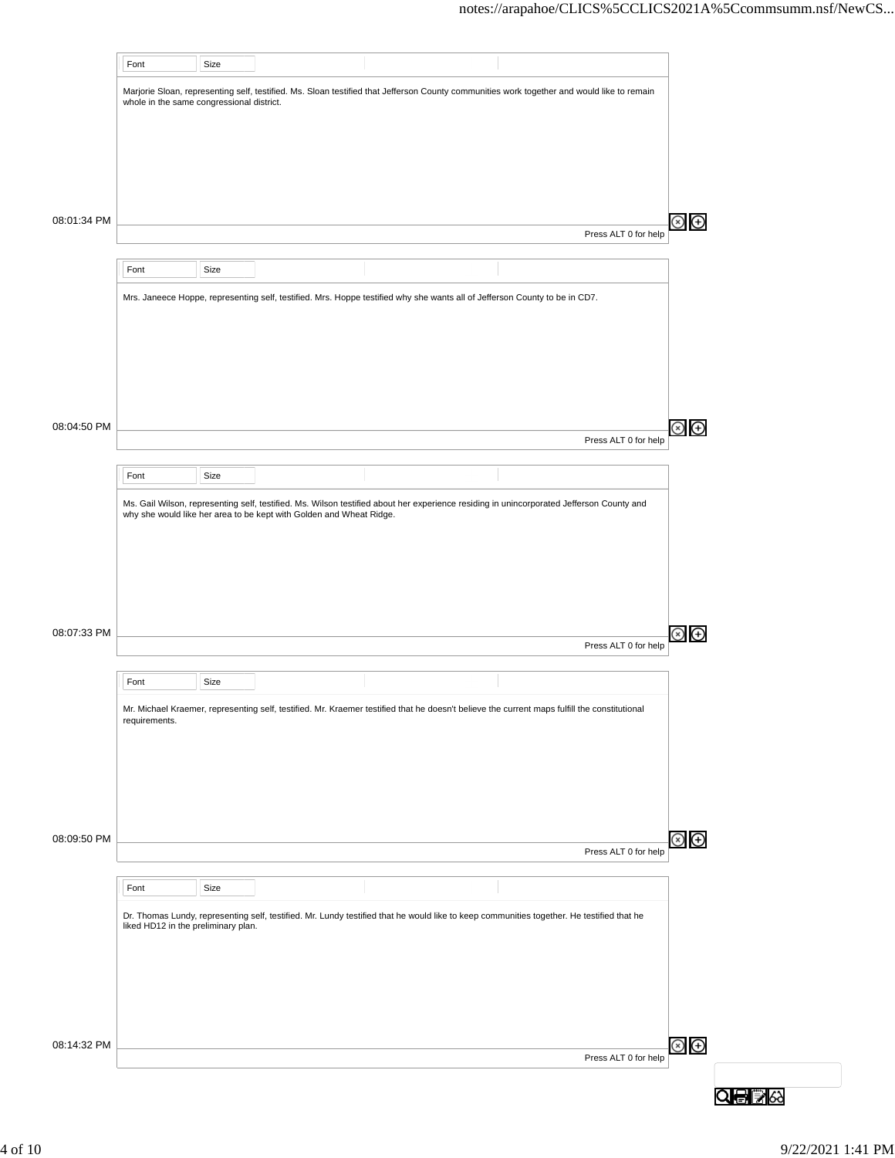|             | Font                                      | Size |                                                                     |                                                                                                                                              |                      |  |
|-------------|-------------------------------------------|------|---------------------------------------------------------------------|----------------------------------------------------------------------------------------------------------------------------------------------|----------------------|--|
|             | whole in the same congressional district. |      |                                                                     | Marjorie Sloan, representing self, testified. Ms. Sloan testified that Jefferson County communities work together and would like to remain   |                      |  |
|             |                                           |      |                                                                     |                                                                                                                                              |                      |  |
|             |                                           |      |                                                                     |                                                                                                                                              |                      |  |
|             |                                           |      |                                                                     |                                                                                                                                              |                      |  |
| 08:01:34 PM |                                           |      |                                                                     |                                                                                                                                              |                      |  |
|             |                                           |      |                                                                     |                                                                                                                                              | Press ALT 0 for help |  |
|             | Font                                      | Size |                                                                     |                                                                                                                                              |                      |  |
|             |                                           |      |                                                                     | Mrs. Janeece Hoppe, representing self, testified. Mrs. Hoppe testified why she wants all of Jefferson County to be in CD7.                   |                      |  |
|             |                                           |      |                                                                     |                                                                                                                                              |                      |  |
|             |                                           |      |                                                                     |                                                                                                                                              |                      |  |
|             |                                           |      |                                                                     |                                                                                                                                              |                      |  |
|             |                                           |      |                                                                     |                                                                                                                                              |                      |  |
| 08:04:50 PM |                                           |      |                                                                     |                                                                                                                                              | Press ALT 0 for help |  |
|             | Font                                      | Size |                                                                     |                                                                                                                                              |                      |  |
|             |                                           |      |                                                                     | Ms. Gail Wilson, representing self, testified. Ms. Wilson testified about her experience residing in unincorporated Jefferson County and     |                      |  |
|             |                                           |      | why she would like her area to be kept with Golden and Wheat Ridge. |                                                                                                                                              |                      |  |
|             |                                           |      |                                                                     |                                                                                                                                              |                      |  |
|             |                                           |      |                                                                     |                                                                                                                                              |                      |  |
|             |                                           |      |                                                                     |                                                                                                                                              |                      |  |
| 08:07:33 PM |                                           |      |                                                                     |                                                                                                                                              |                      |  |
|             |                                           |      |                                                                     |                                                                                                                                              | Press ALT 0 for help |  |
|             | Font                                      | Size |                                                                     |                                                                                                                                              |                      |  |
|             | requirements.                             |      |                                                                     | Mr. Michael Kraemer, representing self, testified. Mr. Kraemer testified that he doesn't believe the current maps fulfill the constitutional |                      |  |
|             |                                           |      |                                                                     |                                                                                                                                              |                      |  |
|             |                                           |      |                                                                     |                                                                                                                                              |                      |  |
|             |                                           |      |                                                                     |                                                                                                                                              |                      |  |
|             |                                           |      |                                                                     |                                                                                                                                              |                      |  |
| 08:09:50 PM |                                           |      |                                                                     |                                                                                                                                              | Press ALT 0 for help |  |
|             | Font                                      | Size |                                                                     |                                                                                                                                              |                      |  |
|             |                                           |      |                                                                     | Dr. Thomas Lundy, representing self, testified. Mr. Lundy testified that he would like to keep communities together. He testified that he    |                      |  |
|             | liked HD12 in the preliminary plan.       |      |                                                                     |                                                                                                                                              |                      |  |
|             |                                           |      |                                                                     |                                                                                                                                              |                      |  |
|             |                                           |      |                                                                     |                                                                                                                                              |                      |  |
|             |                                           |      |                                                                     |                                                                                                                                              |                      |  |
| 08:14:32 PM |                                           |      |                                                                     |                                                                                                                                              | Press ALT 0 for help |  |
|             |                                           |      |                                                                     |                                                                                                                                              |                      |  |
|             |                                           |      |                                                                     |                                                                                                                                              |                      |  |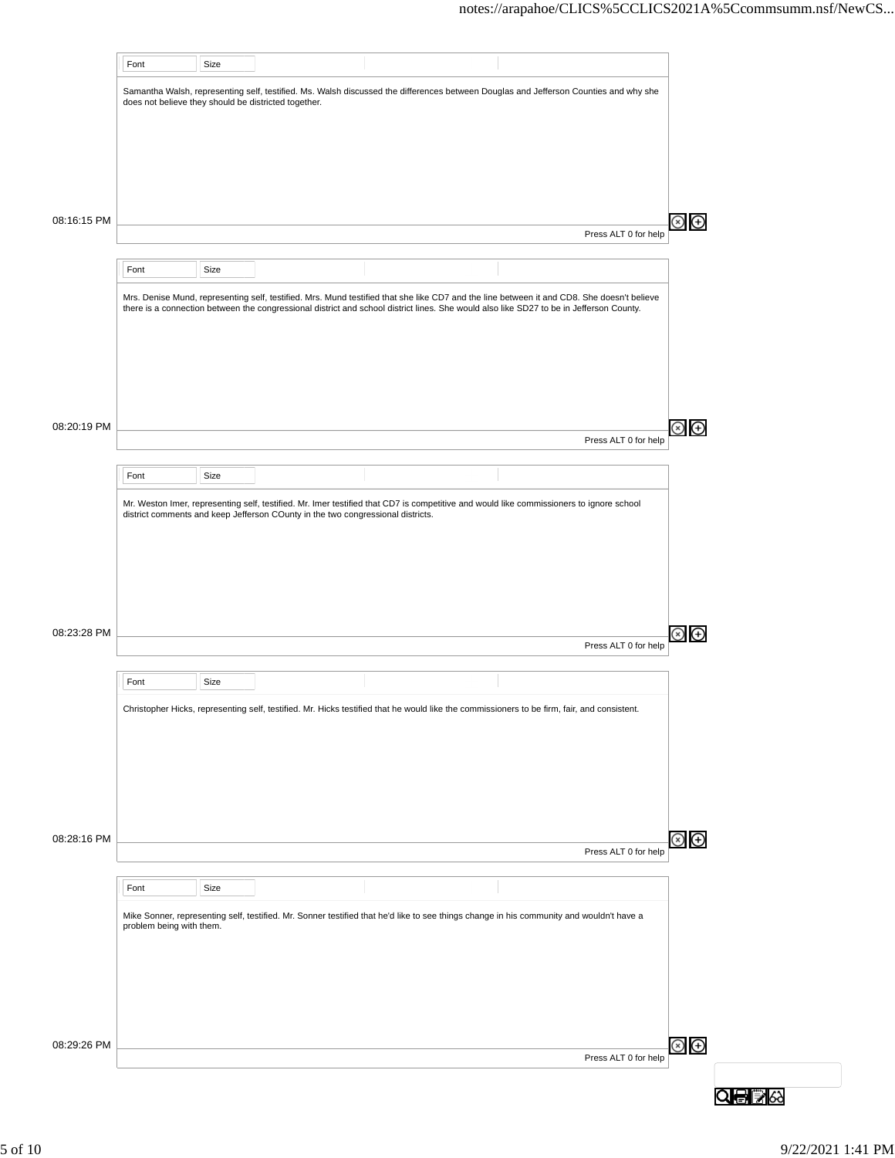|             | Font                                                 | Size |                                                                                                                                                                                                                                                                                       |  |                      |
|-------------|------------------------------------------------------|------|---------------------------------------------------------------------------------------------------------------------------------------------------------------------------------------------------------------------------------------------------------------------------------------|--|----------------------|
|             | does not believe they should be districted together. |      | Samantha Walsh, representing self, testified. Ms. Walsh discussed the differences between Douglas and Jefferson Counties and why she                                                                                                                                                  |  |                      |
|             |                                                      |      |                                                                                                                                                                                                                                                                                       |  |                      |
|             |                                                      |      |                                                                                                                                                                                                                                                                                       |  |                      |
|             |                                                      |      |                                                                                                                                                                                                                                                                                       |  |                      |
| 08:16:15 PM |                                                      |      |                                                                                                                                                                                                                                                                                       |  |                      |
|             |                                                      |      |                                                                                                                                                                                                                                                                                       |  | Press ALT 0 for help |
|             | Font                                                 | Size |                                                                                                                                                                                                                                                                                       |  |                      |
|             |                                                      |      | Mrs. Denise Mund, representing self, testified. Mrs. Mund testified that she like CD7 and the line between it and CD8. She doesn't believe<br>there is a connection between the congressional district and school district lines. She would also like SD27 to be in Jefferson County. |  |                      |
|             |                                                      |      |                                                                                                                                                                                                                                                                                       |  |                      |
|             |                                                      |      |                                                                                                                                                                                                                                                                                       |  |                      |
|             |                                                      |      |                                                                                                                                                                                                                                                                                       |  |                      |
|             |                                                      |      |                                                                                                                                                                                                                                                                                       |  |                      |
| 08:20:19 PM |                                                      |      |                                                                                                                                                                                                                                                                                       |  | Press ALT 0 for help |
|             | Font                                                 | Size |                                                                                                                                                                                                                                                                                       |  |                      |
|             |                                                      |      | Mr. Weston Imer, representing self, testified. Mr. Imer testified that CD7 is competitive and would like commissioners to ignore school                                                                                                                                               |  |                      |
|             |                                                      |      | district comments and keep Jefferson COunty in the two congressional districts.                                                                                                                                                                                                       |  |                      |
|             |                                                      |      |                                                                                                                                                                                                                                                                                       |  |                      |
|             |                                                      |      |                                                                                                                                                                                                                                                                                       |  |                      |
|             |                                                      |      |                                                                                                                                                                                                                                                                                       |  |                      |
| 08:23:28 PM |                                                      |      |                                                                                                                                                                                                                                                                                       |  |                      |
|             |                                                      |      |                                                                                                                                                                                                                                                                                       |  | Press ALT 0 for help |
|             | Font                                                 | Size |                                                                                                                                                                                                                                                                                       |  |                      |
|             |                                                      |      | Christopher Hicks, representing self, testified. Mr. Hicks testified that he would like the commissioners to be firm, fair, and consistent.                                                                                                                                           |  |                      |
|             |                                                      |      |                                                                                                                                                                                                                                                                                       |  |                      |
|             |                                                      |      |                                                                                                                                                                                                                                                                                       |  |                      |
|             |                                                      |      |                                                                                                                                                                                                                                                                                       |  |                      |
|             |                                                      |      |                                                                                                                                                                                                                                                                                       |  |                      |
| 08:28:16 PM |                                                      |      |                                                                                                                                                                                                                                                                                       |  | Press ALT 0 for help |
|             |                                                      |      |                                                                                                                                                                                                                                                                                       |  |                      |
|             |                                                      |      |                                                                                                                                                                                                                                                                                       |  |                      |
|             | Font                                                 | Size |                                                                                                                                                                                                                                                                                       |  |                      |
|             | problem being with them.                             |      | Mike Sonner, representing self, testified. Mr. Sonner testified that he'd like to see things change in his community and wouldn't have a                                                                                                                                              |  |                      |
|             |                                                      |      |                                                                                                                                                                                                                                                                                       |  |                      |
|             |                                                      |      |                                                                                                                                                                                                                                                                                       |  |                      |
|             |                                                      |      |                                                                                                                                                                                                                                                                                       |  |                      |
| 08:29:26 PM |                                                      |      |                                                                                                                                                                                                                                                                                       |  |                      |
|             |                                                      |      |                                                                                                                                                                                                                                                                                       |  | Press ALT 0 for help |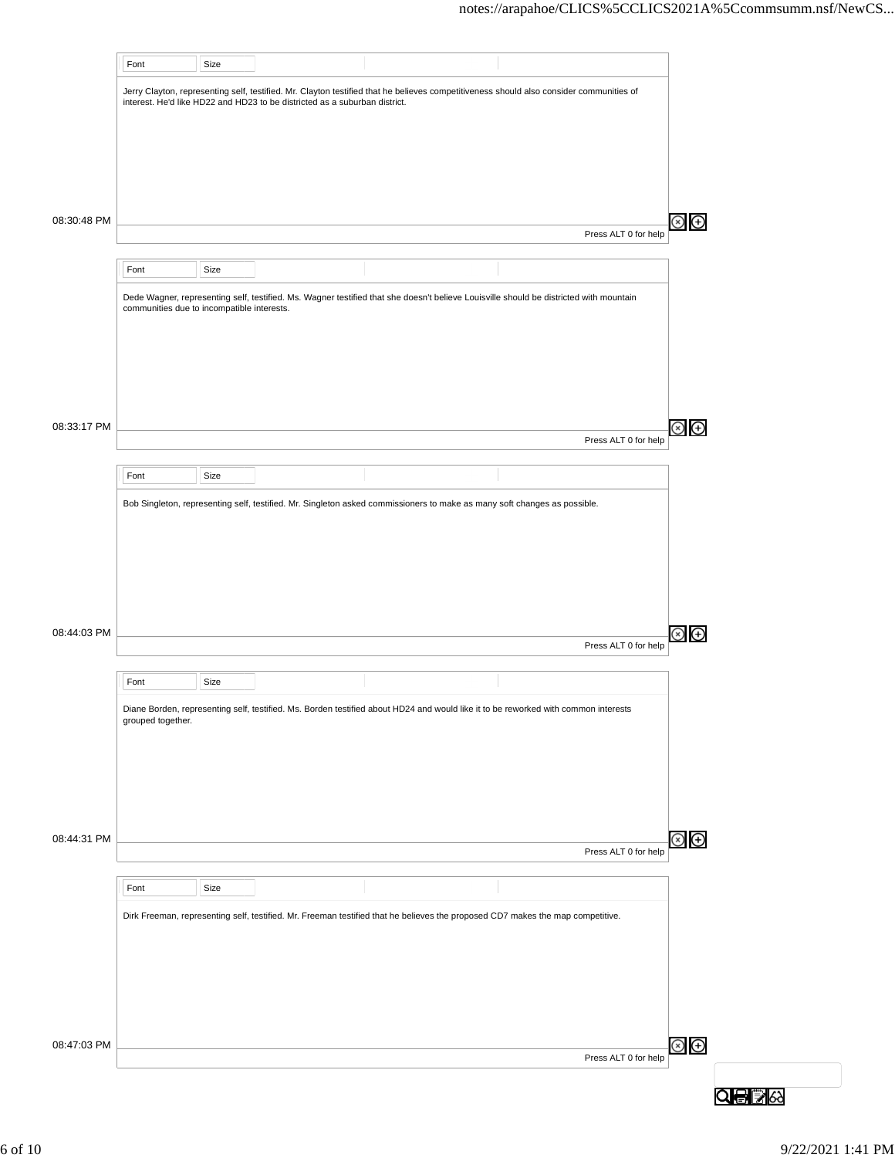|             | Font                                       | Size |                                                                            |                                                                                                                                         |                      |                         |  |
|-------------|--------------------------------------------|------|----------------------------------------------------------------------------|-----------------------------------------------------------------------------------------------------------------------------------------|----------------------|-------------------------|--|
|             |                                            |      | interest. He'd like HD22 and HD23 to be districted as a suburban district. | Jerry Clayton, representing self, testified. Mr. Clayton testified that he believes competitiveness should also consider communities of |                      |                         |  |
|             |                                            |      |                                                                            |                                                                                                                                         |                      |                         |  |
|             |                                            |      |                                                                            |                                                                                                                                         |                      |                         |  |
| 08:30:48 PM |                                            |      |                                                                            |                                                                                                                                         |                      | $\circledcirc$ $\oplus$ |  |
|             |                                            |      |                                                                            |                                                                                                                                         | Press ALT 0 for help |                         |  |
|             | Font                                       | Size |                                                                            |                                                                                                                                         |                      |                         |  |
|             | communities due to incompatible interests. |      |                                                                            | Dede Wagner, representing self, testified. Ms. Wagner testified that she doesn't believe Louisville should be districted with mountain  |                      |                         |  |
|             |                                            |      |                                                                            |                                                                                                                                         |                      |                         |  |
|             |                                            |      |                                                                            |                                                                                                                                         |                      |                         |  |
|             |                                            |      |                                                                            |                                                                                                                                         |                      |                         |  |
| 08:33:17 PM |                                            |      |                                                                            |                                                                                                                                         | Press ALT 0 for help | $\circledcirc$          |  |
|             | Font                                       | Size |                                                                            |                                                                                                                                         |                      |                         |  |
|             |                                            |      |                                                                            | Bob Singleton, representing self, testified. Mr. Singleton asked commissioners to make as many soft changes as possible.                |                      |                         |  |
|             |                                            |      |                                                                            |                                                                                                                                         |                      |                         |  |
|             |                                            |      |                                                                            |                                                                                                                                         |                      |                         |  |
|             |                                            |      |                                                                            |                                                                                                                                         |                      |                         |  |
| 08:44:03 PM |                                            |      |                                                                            |                                                                                                                                         | Press ALT 0 for help | $\circledast$           |  |
|             | Font                                       | Size |                                                                            |                                                                                                                                         |                      |                         |  |
|             | grouped together.                          |      |                                                                            | Diane Borden, representing self, testified. Ms. Borden testified about HD24 and would like it to be reworked with common interests      |                      |                         |  |
|             |                                            |      |                                                                            |                                                                                                                                         |                      |                         |  |
|             |                                            |      |                                                                            |                                                                                                                                         |                      |                         |  |
|             |                                            |      |                                                                            |                                                                                                                                         |                      |                         |  |
| 08:44:31 PM |                                            |      |                                                                            |                                                                                                                                         | Press ALT 0 for help | $\circledast$           |  |
|             | Font                                       | Size |                                                                            |                                                                                                                                         |                      |                         |  |
|             |                                            |      |                                                                            | Dirk Freeman, representing self, testified. Mr. Freeman testified that he believes the proposed CD7 makes the map competitive.          |                      |                         |  |
|             |                                            |      |                                                                            |                                                                                                                                         |                      |                         |  |
|             |                                            |      |                                                                            |                                                                                                                                         |                      |                         |  |
|             |                                            |      |                                                                            |                                                                                                                                         |                      |                         |  |
| 08:47:03 PM |                                            |      |                                                                            |                                                                                                                                         | Press ALT 0 for help | $\circledcirc$          |  |
|             |                                            |      |                                                                            |                                                                                                                                         |                      |                         |  |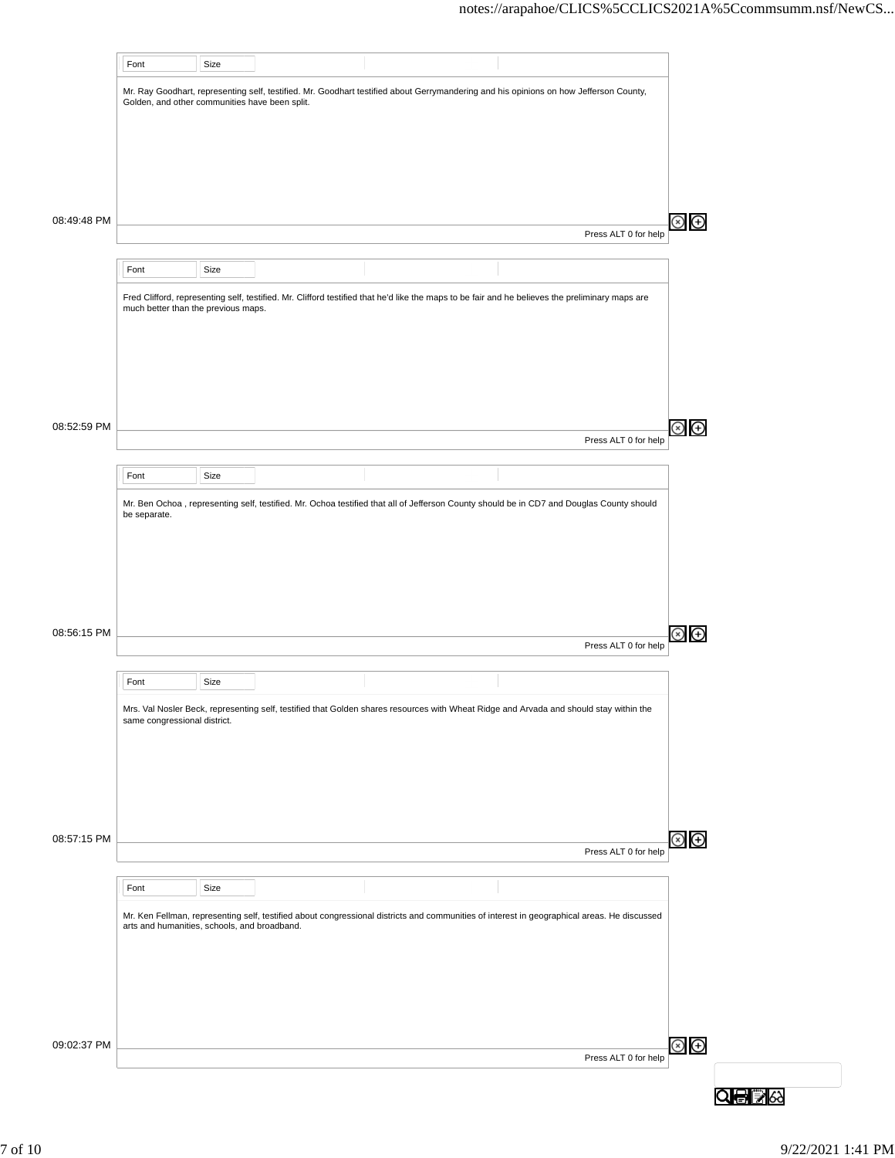|             | Font                                           | Size |                                                                                                                                                 |                      |
|-------------|------------------------------------------------|------|-------------------------------------------------------------------------------------------------------------------------------------------------|----------------------|
|             |                                                |      | Mr. Ray Goodhart, representing self, testified. Mr. Goodhart testified about Gerrymandering and his opinions on how Jefferson County,           |                      |
|             | Golden, and other communities have been split. |      |                                                                                                                                                 |                      |
|             |                                                |      |                                                                                                                                                 |                      |
|             |                                                |      |                                                                                                                                                 |                      |
|             |                                                |      |                                                                                                                                                 |                      |
| 08:49:48 PM |                                                |      |                                                                                                                                                 |                      |
|             |                                                |      |                                                                                                                                                 | Press ALT 0 for help |
|             | Font                                           | Size |                                                                                                                                                 |                      |
|             |                                                |      |                                                                                                                                                 |                      |
|             | much better than the previous maps.            |      | Fred Clifford, representing self, testified. Mr. Clifford testified that he'd like the maps to be fair and he believes the preliminary maps are |                      |
|             |                                                |      |                                                                                                                                                 |                      |
|             |                                                |      |                                                                                                                                                 |                      |
|             |                                                |      |                                                                                                                                                 |                      |
|             |                                                |      |                                                                                                                                                 |                      |
| 08:52:59 PM |                                                |      |                                                                                                                                                 |                      |
|             |                                                |      |                                                                                                                                                 | Press ALT 0 for help |
|             | Font                                           | Size |                                                                                                                                                 |                      |
|             |                                                |      | Mr. Ben Ochoa, representing self, testified. Mr. Ochoa testified that all of Jefferson County should be in CD7 and Douglas County should        |                      |
|             | be separate.                                   |      |                                                                                                                                                 |                      |
|             |                                                |      |                                                                                                                                                 |                      |
|             |                                                |      |                                                                                                                                                 |                      |
|             |                                                |      |                                                                                                                                                 |                      |
|             |                                                |      |                                                                                                                                                 |                      |
| 08:56:15 PM |                                                |      |                                                                                                                                                 | Press ALT 0 for help |
|             |                                                |      |                                                                                                                                                 |                      |
|             | Font                                           | Size |                                                                                                                                                 |                      |
|             | same congressional district.                   |      | Mrs. Val Nosler Beck, representing self, testified that Golden shares resources with Wheat Ridge and Arvada and should stay within the          |                      |
|             |                                                |      |                                                                                                                                                 |                      |
|             |                                                |      |                                                                                                                                                 |                      |
|             |                                                |      |                                                                                                                                                 |                      |
|             |                                                |      |                                                                                                                                                 |                      |
| 08:57:15 PM |                                                |      |                                                                                                                                                 |                      |
|             |                                                |      |                                                                                                                                                 | Press ALT 0 for help |
|             |                                                |      |                                                                                                                                                 |                      |
|             |                                                |      |                                                                                                                                                 |                      |
|             | Font                                           | Size |                                                                                                                                                 |                      |
|             | arts and humanities, schools, and broadband.   |      | Mr. Ken Fellman, representing self, testified about congressional districts and communities of interest in geographical areas. He discussed     |                      |
|             |                                                |      |                                                                                                                                                 |                      |
|             |                                                |      |                                                                                                                                                 |                      |
|             |                                                |      |                                                                                                                                                 |                      |
|             |                                                |      |                                                                                                                                                 |                      |
| 09:02:37 PM |                                                |      |                                                                                                                                                 |                      |
|             |                                                |      |                                                                                                                                                 | Press ALT 0 for help |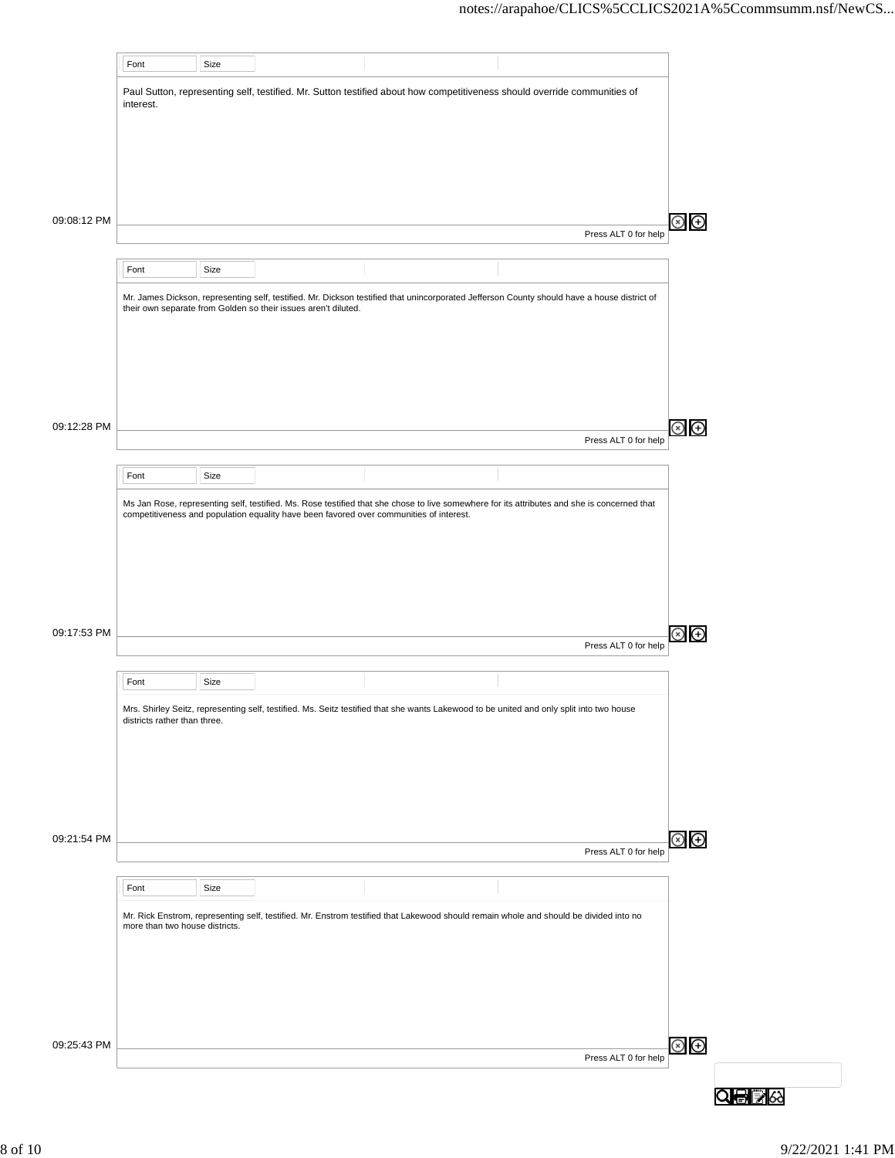|             | Font                           | Size |                                                                |                                                                                                                                             |                      |
|-------------|--------------------------------|------|----------------------------------------------------------------|---------------------------------------------------------------------------------------------------------------------------------------------|----------------------|
|             | interest.                      |      |                                                                | Paul Sutton, representing self, testified. Mr. Sutton testified about how competitiveness should override communities of                    |                      |
|             |                                |      |                                                                |                                                                                                                                             |                      |
|             |                                |      |                                                                |                                                                                                                                             |                      |
| 09:08:12 PM |                                |      |                                                                |                                                                                                                                             | Press ALT 0 for help |
|             |                                |      |                                                                |                                                                                                                                             |                      |
|             | Font                           | Size |                                                                |                                                                                                                                             |                      |
|             |                                |      | their own separate from Golden so their issues aren't diluted. | Mr. James Dickson, representing self, testified. Mr. Dickson testified that unincorporated Jefferson County should have a house district of |                      |
| 09:12:28 PM |                                |      |                                                                |                                                                                                                                             |                      |
|             |                                |      |                                                                |                                                                                                                                             | Press ALT 0 for help |
|             | Font                           | Size |                                                                |                                                                                                                                             |                      |
| 09:17:53 PM |                                |      |                                                                |                                                                                                                                             | Press ALT 0 for help |
|             | Font                           | Size |                                                                |                                                                                                                                             |                      |
|             | districts rather than three.   |      |                                                                | Mrs. Shirley Seitz, representing self, testified. Ms. Seitz testified that she wants Lakewood to be united and only split into two house    |                      |
| 09:21:54 PM |                                |      |                                                                |                                                                                                                                             | Press ALT 0 for help |
|             |                                |      |                                                                |                                                                                                                                             |                      |
|             | Font                           | Size |                                                                |                                                                                                                                             |                      |
| 09:25:43 PM | more than two house districts. |      |                                                                | Mr. Rick Enstrom, representing self, testified. Mr. Enstrom testified that Lakewood should remain whole and should be divided into no       |                      |
|             |                                |      |                                                                |                                                                                                                                             | Press ALT 0 for help |
|             |                                |      |                                                                |                                                                                                                                             |                      |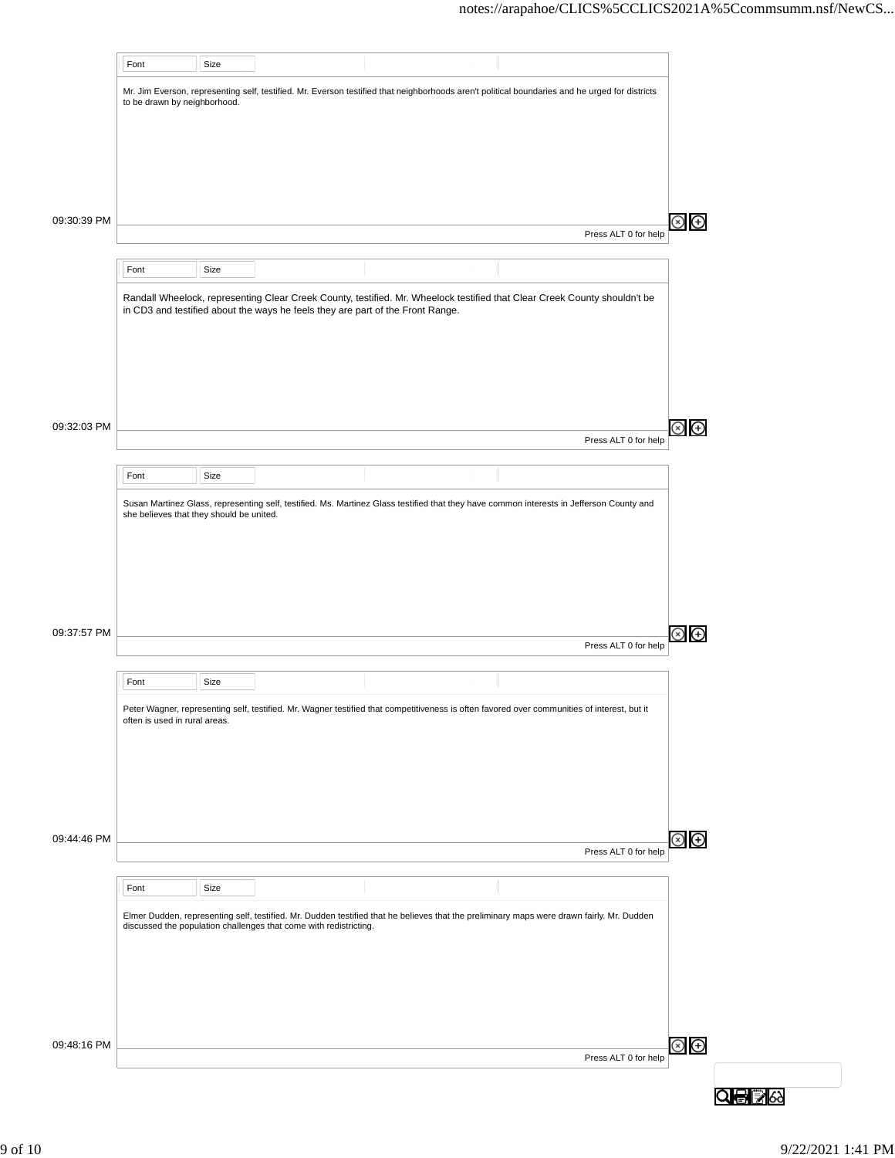|             | Font                                     | Size |                                                                                |                                                                                                                                                |                      |               |
|-------------|------------------------------------------|------|--------------------------------------------------------------------------------|------------------------------------------------------------------------------------------------------------------------------------------------|----------------------|---------------|
|             | to be drawn by neighborhood.             |      |                                                                                | Mr. Jim Everson, representing self, testified. Mr. Everson testified that neighborhoods aren't political boundaries and he urged for districts |                      |               |
|             |                                          |      |                                                                                |                                                                                                                                                |                      |               |
|             |                                          |      |                                                                                |                                                                                                                                                |                      |               |
|             |                                          |      |                                                                                |                                                                                                                                                |                      |               |
| 09:30:39 PM |                                          |      |                                                                                |                                                                                                                                                |                      | Θ             |
|             |                                          |      |                                                                                |                                                                                                                                                | Press ALT 0 for help |               |
|             | Font                                     | Size |                                                                                |                                                                                                                                                |                      |               |
|             |                                          |      | in CD3 and testified about the ways he feels they are part of the Front Range. | Randall Wheelock, representing Clear Creek County, testified. Mr. Wheelock testified that Clear Creek County shouldn't be                      |                      |               |
|             |                                          |      |                                                                                |                                                                                                                                                |                      |               |
|             |                                          |      |                                                                                |                                                                                                                                                |                      |               |
|             |                                          |      |                                                                                |                                                                                                                                                |                      |               |
|             |                                          |      |                                                                                |                                                                                                                                                |                      |               |
| 09:32:03 PM |                                          |      |                                                                                |                                                                                                                                                | Press ALT 0 for help | $\bigoplus$   |
|             | Font                                     | Size |                                                                                |                                                                                                                                                |                      |               |
|             |                                          |      |                                                                                |                                                                                                                                                |                      |               |
|             | she believes that they should be united. |      |                                                                                | Susan Martinez Glass, representing self, testified. Ms. Martinez Glass testified that they have common interests in Jefferson County and       |                      |               |
|             |                                          |      |                                                                                |                                                                                                                                                |                      |               |
|             |                                          |      |                                                                                |                                                                                                                                                |                      |               |
|             |                                          |      |                                                                                |                                                                                                                                                |                      |               |
| 09:37:57 PM |                                          |      |                                                                                |                                                                                                                                                |                      | $\bigoplus$   |
|             |                                          |      |                                                                                |                                                                                                                                                | Press ALT 0 for help |               |
|             | Font                                     | Size |                                                                                |                                                                                                                                                |                      |               |
|             | often is used in rural areas.            |      |                                                                                | Peter Wagner, representing self, testified. Mr. Wagner testified that competitiveness is often favored over communities of interest, but it    |                      |               |
|             |                                          |      |                                                                                |                                                                                                                                                |                      |               |
|             |                                          |      |                                                                                |                                                                                                                                                |                      |               |
|             |                                          |      |                                                                                |                                                                                                                                                |                      |               |
|             |                                          |      |                                                                                |                                                                                                                                                |                      |               |
| 09:44:46 PM |                                          |      |                                                                                |                                                                                                                                                | Press ALT 0 for help | $\circledast$ |
|             | Font                                     | Size |                                                                                |                                                                                                                                                |                      |               |
|             |                                          |      |                                                                                | Elmer Dudden, representing self, testified. Mr. Dudden testified that he believes that the preliminary maps were drawn fairly. Mr. Dudden      |                      |               |
|             |                                          |      | discussed the population challenges that come with redistricting.              |                                                                                                                                                |                      |               |
|             |                                          |      |                                                                                |                                                                                                                                                |                      |               |
|             |                                          |      |                                                                                |                                                                                                                                                |                      |               |
|             |                                          |      |                                                                                |                                                                                                                                                |                      |               |
| 09:48:16 PM |                                          |      |                                                                                |                                                                                                                                                |                      | $\circledast$ |
|             |                                          |      |                                                                                |                                                                                                                                                | Press ALT 0 for help |               |
|             |                                          |      |                                                                                |                                                                                                                                                |                      |               |